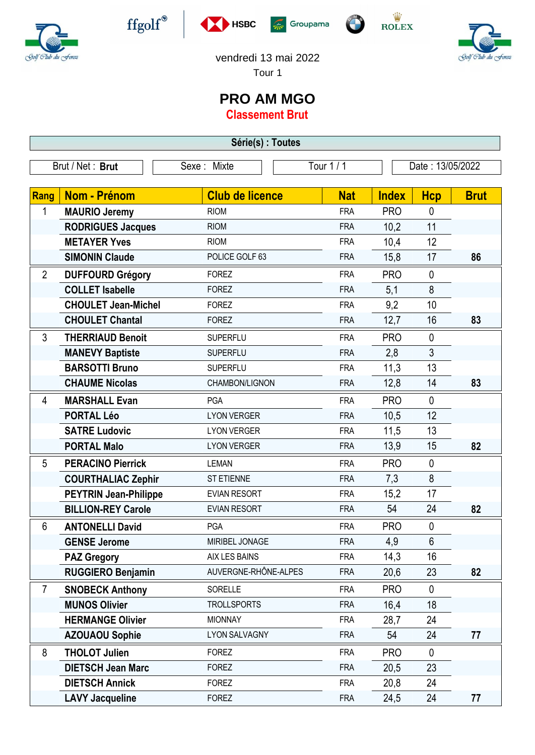

 $\operatorname{ffgolf}^{\circledast}$ 









vendredi 13 mai 2022

Tour 1

## **PRO AM MGO**

**Classement Brut**

| Série(s) : Toutes |                              |                        |            |              |                  |             |  |  |  |
|-------------------|------------------------------|------------------------|------------|--------------|------------------|-------------|--|--|--|
| Brut / Net: Brut  |                              | Sexe: Mixte            | Tour 1 / 1 |              | Date: 13/05/2022 |             |  |  |  |
| Rang              | Nom - Prénom                 | <b>Club de licence</b> | <b>Nat</b> | <b>Index</b> | <b>Hcp</b>       | <b>Brut</b> |  |  |  |
| 1                 | <b>MAURIO Jeremy</b>         | <b>RIOM</b>            | <b>FRA</b> | <b>PRO</b>   | $\mathbf{0}$     |             |  |  |  |
|                   | <b>RODRIGUES Jacques</b>     | <b>RIOM</b>            | <b>FRA</b> | 10,2         | 11               |             |  |  |  |
|                   | <b>METAYER Yves</b>          | <b>RIOM</b>            | <b>FRA</b> | 10,4         | 12               |             |  |  |  |
|                   | <b>SIMONIN Claude</b>        | POLICE GOLF 63         | <b>FRA</b> | 15,8         | 17               | 86          |  |  |  |
| $\overline{2}$    | <b>DUFFOURD Grégory</b>      | <b>FOREZ</b>           | <b>FRA</b> | <b>PRO</b>   | $\mathbf{0}$     |             |  |  |  |
|                   | <b>COLLET Isabelle</b>       | <b>FOREZ</b>           | <b>FRA</b> | 5,1          | 8                |             |  |  |  |
|                   | <b>CHOULET Jean-Michel</b>   | <b>FOREZ</b>           | <b>FRA</b> | 9,2          | 10               |             |  |  |  |
|                   | <b>CHOULET Chantal</b>       | <b>FOREZ</b>           | <b>FRA</b> | 12,7         | 16               | 83          |  |  |  |
| 3                 | <b>THERRIAUD Benoit</b>      | <b>SUPERFLU</b>        | <b>FRA</b> | <b>PRO</b>   | $\mathbf{0}$     |             |  |  |  |
|                   | <b>MANEVY Baptiste</b>       | <b>SUPERFLU</b>        | <b>FRA</b> | 2,8          | 3                |             |  |  |  |
|                   | <b>BARSOTTI Bruno</b>        | <b>SUPERFLU</b>        | <b>FRA</b> | 11,3         | 13               |             |  |  |  |
|                   | <b>CHAUME Nicolas</b>        | CHAMBON/LIGNON         | <b>FRA</b> | 12,8         | 14               | 83          |  |  |  |
| 4                 | <b>MARSHALL Evan</b>         | PGA                    | <b>FRA</b> | <b>PRO</b>   | $\mathbf{0}$     |             |  |  |  |
|                   | <b>PORTAL Léo</b>            | <b>LYON VERGER</b>     | <b>FRA</b> | 10,5         | 12               |             |  |  |  |
|                   | <b>SATRE Ludovic</b>         | <b>LYON VERGER</b>     | <b>FRA</b> | 11,5         | 13               |             |  |  |  |
|                   | <b>PORTAL Malo</b>           | <b>LYON VERGER</b>     | <b>FRA</b> | 13,9         | 15               | 82          |  |  |  |
| 5                 | <b>PERACINO Pierrick</b>     | <b>LEMAN</b>           | <b>FRA</b> | <b>PRO</b>   | $\mathbf 0$      |             |  |  |  |
|                   | <b>COURTHALIAC Zephir</b>    | <b>ST ETIENNE</b>      | <b>FRA</b> | 7,3          | 8                |             |  |  |  |
|                   | <b>PEYTRIN Jean-Philippe</b> | <b>EVIAN RESORT</b>    | <b>FRA</b> | 15,2         | 17               |             |  |  |  |
|                   | <b>BILLION-REY Carole</b>    | <b>EVIAN RESORT</b>    | <b>FRA</b> | 54           | 24               | 82          |  |  |  |
| 6                 | <b>ANTONELLI David</b>       | PGA                    | <b>FRA</b> | <b>PRO</b>   | $\mathbf 0$      |             |  |  |  |
|                   | <b>GENSE Jerome</b>          | MIRIBEL JONAGE         | <b>FRA</b> | 4,9          | 6                |             |  |  |  |
|                   | <b>PAZ Gregory</b>           | AIX LES BAINS          | <b>FRA</b> | 14,3         | 16               |             |  |  |  |
|                   | <b>RUGGIERO Benjamin</b>     | AUVERGNE-RHÔNE-ALPES   | <b>FRA</b> | 20,6         | 23               | 82          |  |  |  |
| $\overline{7}$    | <b>SNOBECK Anthony</b>       | <b>SORELLE</b>         | <b>FRA</b> | <b>PRO</b>   | $\mathbf 0$      |             |  |  |  |
|                   | <b>MUNOS Olivier</b>         | <b>TROLLSPORTS</b>     | <b>FRA</b> | 16,4         | 18               |             |  |  |  |
|                   | <b>HERMANGE Olivier</b>      | <b>MIONNAY</b>         | <b>FRA</b> | 28,7         | 24               |             |  |  |  |
|                   | <b>AZOUAOU Sophie</b>        | <b>LYON SALVAGNY</b>   | <b>FRA</b> | 54           | 24               | 77          |  |  |  |
| 8                 | <b>THOLOT Julien</b>         | <b>FOREZ</b>           | <b>FRA</b> | <b>PRO</b>   | $\mathbf 0$      |             |  |  |  |
|                   | <b>DIETSCH Jean Marc</b>     | <b>FOREZ</b>           | <b>FRA</b> | 20,5         | 23               |             |  |  |  |
|                   | <b>DIETSCH Annick</b>        | <b>FOREZ</b>           | <b>FRA</b> | 20,8         | 24               |             |  |  |  |
|                   | <b>LAVY Jacqueline</b>       | <b>FOREZ</b>           | <b>FRA</b> | 24,5         | 24               | 77          |  |  |  |